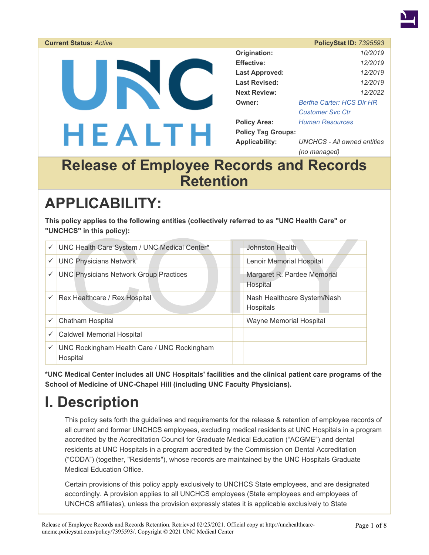

#### **Current Status:** *Active* **PolicyStat ID:** *7395593*  **Origination:** *10/2019*  **Effective:** *12/2019*  UNC **Last Approved:** *12/2019*  **Last Revised:** *12/2019*  **Next Review:** *12/2022*  **Owner:** *[Bertha Carter: HCS Dir HR](https://unchealthcare-uncmc.policystat.com/policy_search/author/?search_query=&terms=1370332)  [Customer Svc Ctr](https://unchealthcare-uncmc.policystat.com/policy_search/author/?search_query=&terms=1370332)*  **Policy Area:** *[Human Resources](https://unchealthcare-uncmc.policystat.com/policy_search/category/?search_query=&terms=6292)*  HEALTH **Policy Tag Groups: Applicability:** *UNCHCS - All owned entities (no managed)*

## **Release of Employee Records and Records Retention**

# **APPLICABILITY:**

**This policy applies to the following entities (collectively referred to as "UNC Health Care" or "UNCHCS" in this policy):** 

|   | "UNCHCS" IN this policy):                               |                                          |
|---|---------------------------------------------------------|------------------------------------------|
| ✓ | UNC Health Care System / UNC Medical Center*            | Johnston Health                          |
|   | <b>UNC Physicians Network</b>                           | <b>Lenoir Memorial Hospital</b>          |
| ✓ | <b>UNC Physicians Network Group Practices</b>           | Margaret R. Pardee Memorial<br>Hospital  |
| ✓ | Rex Healthcare / Rex Hospital                           | Nash Healthcare System/Nash<br>Hospitals |
| ✓ | Chatham Hospital                                        | <b>Wayne Memorial Hospital</b>           |
| ✓ | <b>Caldwell Memorial Hospital</b>                       |                                          |
|   | UNC Rockingham Health Care / UNC Rockingham<br>Hospital |                                          |

**\*UNC Medical Center includes all UNC Hospitals' facilities and the clinical patient care programs of the School of Medicine of UNC-Chapel Hill (including UNC Faculty Physicians).** 

# **I. Description**

This policy sets forth the guidelines and requirements for the release & retention of employee records of all current and former UNCHCS employees, excluding medical residents at UNC Hospitals in a program accredited by the Accreditation Council for Graduate Medical Education ("ACGME") and dental residents at UNC Hospitals in a program accredited by the Commission on Dental Accreditation ("CODA") (together, "Residents"), whose records are maintained by the UNC Hospitals Graduate Medical Education Office.

Certain provisions of this policy apply exclusively to UNCHCS State employees, and are designated accordingly. A provision applies to all UNCHCS employees (State employees and employees of UNCHCS affiliates), unless the provision expressly states it is applicable exclusively to State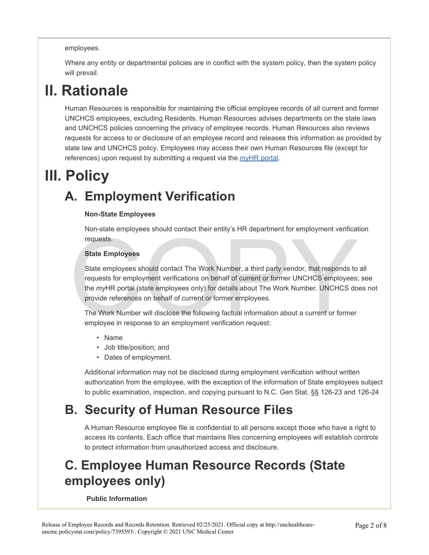#### employees.

Where any entity or departmental policies are in conflict with the system policy, then the system policy will prevail.

# **II. Rationale**

Human Resources is responsible for maintaining the official employee records of all current and former UNCHCS employees, excluding Residents. Human Resources advises departments on the state laws and UNCHCS policies concerning the privacy of employee records. Human Resources also reviews requests for access to or disclosure of an employee record and releases this information as provided by state law and UNCHCS policy. Employees may access their own Human Resources file (except for references) upon request by submitting a request via the *my*[HR portal](https://unchc.service-now.com/hrportal).

# **III. Policy**

# **A. Employment Verification**

#### **Non-State Employees**

Non-state employees should contact their entity's HR department for employment verification requests.

#### **State Employees**

State Employees should contact their childy 3 Thx department for employment vermetarity requests.<br>
State employees should contact The Work Number, a third party vendor, that responds to<br>
requests for employment verificatio State employees should contact The Work Number, a third party vendor, that responds to all requests for employment verifications on behalf of current or former UNCHCS employees; see the *my*HR portal (state employees only) for details about The Work Number. UNCHCS does not provide references on behalf of current or former employees.

The Work Number will disclose the following factual information about a current or former employee in response to an employment verification request:

- Name
- Job title/position; and
- Dates of employment.

Additional information may not be disclosed during employment verification without written authorization from the employee, with the exception of the information of State employees subject to public examination, inspection, and copying pursuant to N.C. Gen Stat. §§ 126-23 and 126-24

## **B. Security of Human Resource Files**

A Human Resource employee file is confidential to all persons except those who have a right to access its contents. Each office that maintains files concerning employees will establish controls to protect information from unauthorized access and disclosure.

## **C. Employee Human Resource Records (State employees only)**

#### **Public Information**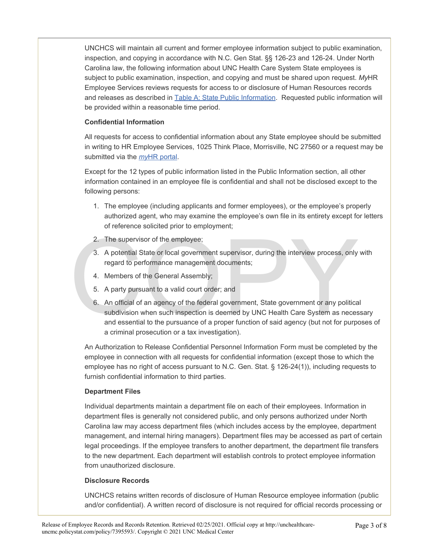UNCHCS will maintain all current and former employee information subject to public examination, inspection, and copying in accordance with N.C. Gen Stat. §§ 126-23 and 126-24. Under North Carolina law, the following information about UNC Health Care System State employees is subject to public examination, inspection, and copying and must be shared upon request. *My*HR Employee Services reviews requests for access to or disclosure of Human Resources records and releases as described in [Table A: State Public Information.](#page-3-0) Requested public information will be provided within a reasonable time period.

#### **Confidential Information**

All requests for access to confidential information about any State employee should be submitted in writing to HR Employee Services, 1025 Think Place, Morrisville, NC 27560 or a request may be submitted via the *my*[HR portal](https://unchc.service-now.com/hrportal).

Except for the 12 types of public information listed in the Public Information section, all other information contained in an employee file is confidential and shall not be disclosed except to the following persons:

- 1. The employee (including applicants and former employees), or the employee's properly authorized agent, who may examine the employee's own file in its entirety except for letters of reference solicited prior to employment;
- 2. The supervisor of the employee;
- 3. A potential State or local government supervisor, during the interview process, only with regard to performance management documents;
- 4. Members of the General Assembly;
- 5. A party pursuant to a valid court order; and
- 2. The supervisor of the employee;<br>
3. A potential State or local government supervisor, during the interview process, only<br>
regard to performance management documents;<br>
4. Members of the General Assembly;<br>
5. A party purs 6. An official of an agency of the federal government, State government or any political subdivision when such inspection is deemed by UNC Health Care System as necessary and essential to the pursuance of a proper function of said agency (but not for purposes of a criminal prosecution or a tax investigation).

An Authorization to Release Confidential Personnel Information Form must be completed by the employee in connection with all requests for confidential information (except those to which the employee has no right of access pursuant to N.C. Gen. Stat. § 126-24(1)), including requests to furnish confidential information to third parties.

#### **Department Files**

Individual departments maintain a department file on each of their employees. Information in department files is generally not considered public, and only persons authorized under North Carolina law may access department files (which includes access by the employee, department management, and internal hiring managers). Department files may be accessed as part of certain legal proceedings. If the employee transfers to another department, the department file transfers to the new department. Each department will establish controls to protect employee information from unauthorized disclosure.

#### **Disclosure Records**

UNCHCS retains written records of disclosure of Human Resource employee information (public and/or confidential). A written record of disclosure is not required for official records processing or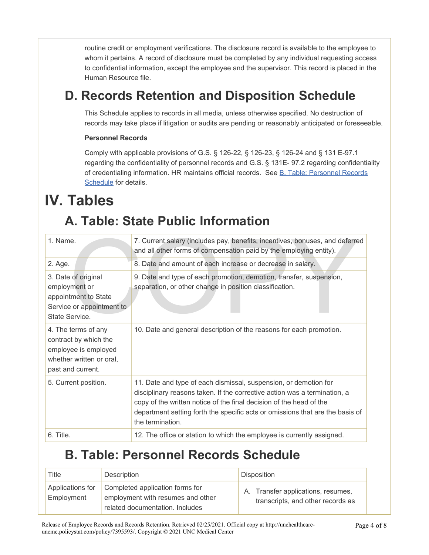routine credit or employment verifications. The disclosure record is available to the employee to whom it pertains. A record of disclosure must be completed by any individual requesting access to confidential information, except the employee and the supervisor. This record is placed in the Human Resource file.

## **D. Records Retention and Disposition Schedule**

This Schedule applies to records in all media, unless otherwise specified. No destruction of records may take place if litigation or audits are pending or reasonably anticipated or foreseeable.

#### **Personnel Records**

Comply with applicable provisions of G.S. § 126-22, § 126-23, § 126-24 and § 131 E-97.1 regarding the confidentiality of personnel records and G.S. § 131E- 97.2 regarding confidentiality of credentialing information. HR maintains official records. See [B. Table: Personnel Records](#page-3-1) [Schedule](#page-3-1) for details.

# <span id="page-3-0"></span>**IV. Tables**

## **A. Table: State Public Information**

| 1. Name.                                                                                                              | 7. Current salary (includes pay, benefits, incentives, bonuses, and deferred<br>and all other forms of compensation paid by the employing entity).                                                                                                                                                                        |
|-----------------------------------------------------------------------------------------------------------------------|---------------------------------------------------------------------------------------------------------------------------------------------------------------------------------------------------------------------------------------------------------------------------------------------------------------------------|
| 2. Age.                                                                                                               | 8. Date and amount of each increase or decrease in salary.                                                                                                                                                                                                                                                                |
| 3. Date of original<br>employment or<br>appointment to State<br>Service or appointment to<br>State Service.           | 9. Date and type of each promotion, demotion, transfer, suspension,<br>separation, or other change in position classification.                                                                                                                                                                                            |
| 4. The terms of any<br>contract by which the<br>employee is employed<br>whether written or oral,<br>past and current. | 10. Date and general description of the reasons for each promotion.                                                                                                                                                                                                                                                       |
| 5. Current position.                                                                                                  | 11. Date and type of each dismissal, suspension, or demotion for<br>disciplinary reasons taken. If the corrective action was a termination, a<br>copy of the written notice of the final decision of the head of the<br>department setting forth the specific acts or omissions that are the basis of<br>the termination. |
| 6. Title.                                                                                                             | 12. The office or station to which the employee is currently assigned.                                                                                                                                                                                                                                                    |

### **B. Table: Personnel Records Schedule**

<span id="page-3-1"></span>

| Title                          | Description                                                                                             | <b>Disposition</b>                                                      |
|--------------------------------|---------------------------------------------------------------------------------------------------------|-------------------------------------------------------------------------|
| Applications for<br>Employment | Completed application forms for<br>employment with resumes and other<br>related documentation. Includes | A. Transfer applications, resumes,<br>transcripts, and other records as |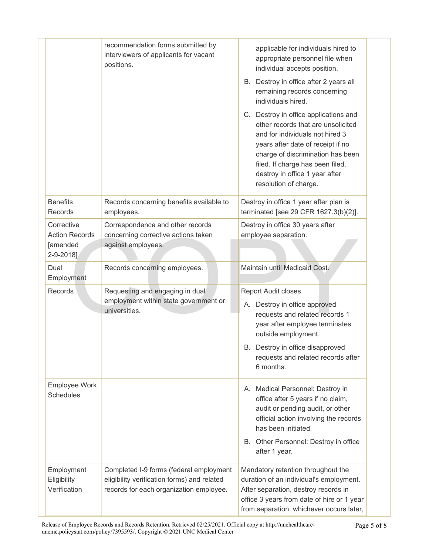|                                                              | recommendation forms submitted by<br>interviewers of applicants for vacant<br>positions.                                          | applicable for individuals hired to<br>appropriate personnel file when<br>individual accepts position.<br>B. Destroy in office after 2 years all<br>remaining records concerning<br>individuals hired.                                                                                  |
|--------------------------------------------------------------|-----------------------------------------------------------------------------------------------------------------------------------|-----------------------------------------------------------------------------------------------------------------------------------------------------------------------------------------------------------------------------------------------------------------------------------------|
|                                                              |                                                                                                                                   | C. Destroy in office applications and<br>other records that are unsolicited<br>and for individuals not hired 3<br>years after date of receipt if no<br>charge of discrimination has been<br>filed. If charge has been filed,<br>destroy in office 1 year after<br>resolution of charge. |
| <b>Benefits</b><br>Records                                   | Records concerning benefits available to<br>employees.                                                                            | Destroy in office 1 year after plan is<br>terminated [see 29 CFR 1627.3(b)(2)].                                                                                                                                                                                                         |
| Corrective<br><b>Action Records</b><br>[amended<br>2-9-2018] | Correspondence and other records<br>concerning corrective actions taken<br>against employees.                                     | Destroy in office 30 years after<br>employee separation.                                                                                                                                                                                                                                |
| Dual<br>Employment                                           | Records concerning employees.                                                                                                     | Maintain until Medicaid Cost.                                                                                                                                                                                                                                                           |
| Records                                                      | Requesting and engaging in dual<br>employment within state government or<br>universities.                                         | Report Audit closes.<br>A. Destroy in office approved<br>requests and related records 1<br>year after employee terminates<br>outside employment.<br>B. Destroy in office disapproved<br>requests and related records after<br>6 months.                                                 |
| Employee Work<br><b>Schedules</b>                            |                                                                                                                                   | A. Medical Personnel: Destroy in<br>office after 5 years if no claim,<br>audit or pending audit, or other<br>official action involving the records<br>has been initiated.<br>B. Other Personnel: Destroy in office<br>after 1 year.                                                     |
| Employment<br>Eligibility<br>Verification                    | Completed I-9 forms (federal employment<br>eligibility verification forms) and related<br>records for each organization employee. | Mandatory retention throughout the<br>duration of an individual's employment.<br>After separation, destroy records in<br>office 3 years from date of hire or 1 year<br>from separation, whichever occurs later,                                                                         |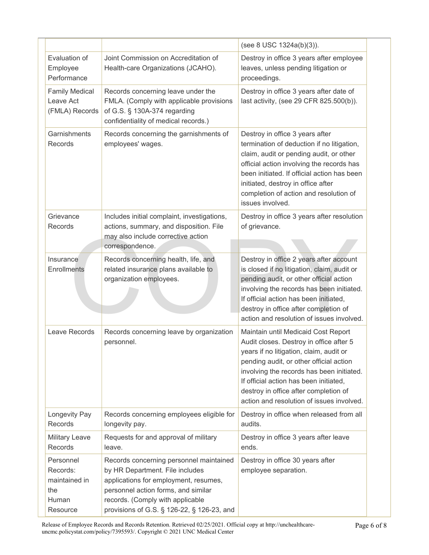|                                                                    |                                                                                                                                                                                                                                              | (see 8 USC 1324a(b)(3)).                                                                                                                                                                                                                                                                                                                          |
|--------------------------------------------------------------------|----------------------------------------------------------------------------------------------------------------------------------------------------------------------------------------------------------------------------------------------|---------------------------------------------------------------------------------------------------------------------------------------------------------------------------------------------------------------------------------------------------------------------------------------------------------------------------------------------------|
| Evaluation of<br>Employee<br>Performance                           | Joint Commission on Accreditation of<br>Health-care Organizations (JCAHO).                                                                                                                                                                   | Destroy in office 3 years after employee<br>leaves, unless pending litigation or<br>proceedings.                                                                                                                                                                                                                                                  |
| <b>Family Medical</b><br>Leave Act<br>(FMLA) Records               | Records concerning leave under the<br>FMLA. (Comply with applicable provisions<br>of G.S. § 130A-374 regarding<br>confidentiality of medical records.)                                                                                       | Destroy in office 3 years after date of<br>last activity, (see 29 CFR 825.500(b)).                                                                                                                                                                                                                                                                |
| Garnishments<br>Records                                            | Records concerning the garnishments of<br>employees' wages.                                                                                                                                                                                  | Destroy in office 3 years after<br>termination of deduction if no litigation,<br>claim, audit or pending audit, or other<br>official action involving the records has<br>been initiated. If official action has been<br>initiated, destroy in office after<br>completion of action and resolution of<br>issues involved.                          |
| Grievance<br>Records                                               | Includes initial complaint, investigations,<br>actions, summary, and disposition. File<br>may also include corrective action<br>correspondence.                                                                                              | Destroy in office 3 years after resolution<br>of grievance.                                                                                                                                                                                                                                                                                       |
| Insurance<br>Enrollments                                           | Records concerning health, life, and<br>related insurance plans available to<br>organization employees.                                                                                                                                      | Destroy in office 2 years after account<br>is closed if no litigation, claim, audit or<br>pending audit, or other official action<br>involving the records has been initiated.<br>If official action has been initiated,<br>destroy in office after completion of<br>action and resolution of issues involved.                                    |
| Leave Records                                                      | Records concerning leave by organization<br>personnel.                                                                                                                                                                                       | Maintain until Medicaid Cost Report<br>Audit closes. Destroy in office after 5<br>years if no litigation, claim, audit or<br>pending audit, or other official action<br>involving the records has been initiated.<br>If official action has been initiated,<br>destroy in office after completion of<br>action and resolution of issues involved. |
| Longevity Pay<br>Records                                           | Records concerning employees eligible for<br>longevity pay.                                                                                                                                                                                  | Destroy in office when released from all<br>audits.                                                                                                                                                                                                                                                                                               |
| <b>Military Leave</b><br>Records                                   | Requests for and approval of military<br>leave.                                                                                                                                                                                              | Destroy in office 3 years after leave<br>ends.                                                                                                                                                                                                                                                                                                    |
| Personnel<br>Records:<br>maintained in<br>the<br>Human<br>Resource | Records concerning personnel maintained<br>by HR Department. File includes<br>applications for employment, resumes,<br>personnel action forms, and similar<br>records. (Comply with applicable<br>provisions of G.S. § 126-22, § 126-23, and | Destroy in office 30 years after<br>employee separation.                                                                                                                                                                                                                                                                                          |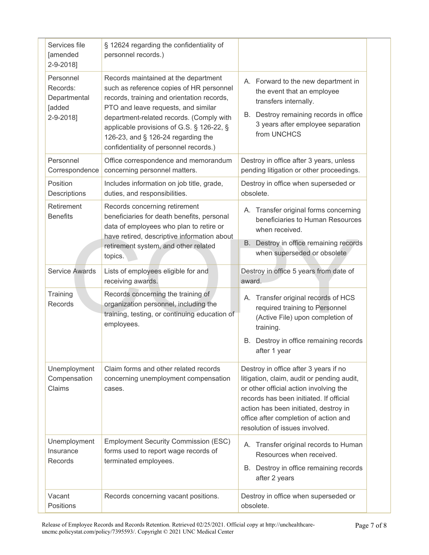| Services file<br>[amended<br>2-9-2018]                       | § 12624 regarding the confidentiality of<br>personnel records.)                                                                                                                                                                                                                                                                                |                                                                                                                                                                                                                                                                                              |  |
|--------------------------------------------------------------|------------------------------------------------------------------------------------------------------------------------------------------------------------------------------------------------------------------------------------------------------------------------------------------------------------------------------------------------|----------------------------------------------------------------------------------------------------------------------------------------------------------------------------------------------------------------------------------------------------------------------------------------------|--|
| Personnel<br>Records:<br>Departmental<br>[added<br>2-9-2018] | Records maintained at the department<br>such as reference copies of HR personnel<br>records, training and orientation records,<br>PTO and leave requests, and similar<br>department-related records. (Comply with<br>applicable provisions of G.S. § 126-22, §<br>126-23, and § 126-24 regarding the<br>confidentiality of personnel records.) | A. Forward to the new department in<br>the event that an employee<br>transfers internally.<br>B. Destroy remaining records in office<br>3 years after employee separation<br>from UNCHCS                                                                                                     |  |
| Personnel<br>Correspondence                                  | Office correspondence and memorandum<br>concerning personnel matters.                                                                                                                                                                                                                                                                          | Destroy in office after 3 years, unless<br>pending litigation or other proceedings.                                                                                                                                                                                                          |  |
| Position<br>Descriptions                                     | Includes information on job title, grade,<br>duties, and responsibilities.                                                                                                                                                                                                                                                                     | Destroy in office when superseded or<br>obsolete.                                                                                                                                                                                                                                            |  |
| Retirement<br><b>Benefits</b>                                | Records concerning retirement<br>beneficiaries for death benefits, personal<br>data of employees who plan to retire or<br>have retired, descriptive information about<br>retirement system, and other related<br>topics.                                                                                                                       | A. Transfer original forms concerning<br>beneficiaries to Human Resources<br>when received.<br>Destroy in office remaining records<br>В.<br>when superseded or obsolete                                                                                                                      |  |
| <b>Service Awards</b>                                        | Lists of employees eligible for and<br>receiving awards.                                                                                                                                                                                                                                                                                       | Destroy in office 5 years from date of<br>award.                                                                                                                                                                                                                                             |  |
| Training<br>Records                                          | Records concerning the training of<br>organization personnel, including the<br>training, testing, or continuing education of<br>employees.                                                                                                                                                                                                     | A. Transfer original records of HCS<br>required training to Personnel<br>(Active File) upon completion of<br>training.<br>B. Destroy in office remaining records<br>after 1 year                                                                                                             |  |
| Unemployment<br>Compensation<br>Claims                       | Claim forms and other related records<br>concerning unemployment compensation<br>cases.                                                                                                                                                                                                                                                        | Destroy in office after 3 years if no<br>litigation, claim, audit or pending audit,<br>or other official action involving the<br>records has been initiated. If official<br>action has been initiated, destroy in<br>office after completion of action and<br>resolution of issues involved. |  |
| Unemployment<br>Insurance<br>Records                         | <b>Employment Security Commission (ESC)</b><br>forms used to report wage records of<br>terminated employees.                                                                                                                                                                                                                                   | A. Transfer original records to Human<br>Resources when received.<br>B. Destroy in office remaining records<br>after 2 years                                                                                                                                                                 |  |
| Vacant<br>Positions                                          | Records concerning vacant positions.                                                                                                                                                                                                                                                                                                           | Destroy in office when superseded or<br>obsolete.                                                                                                                                                                                                                                            |  |